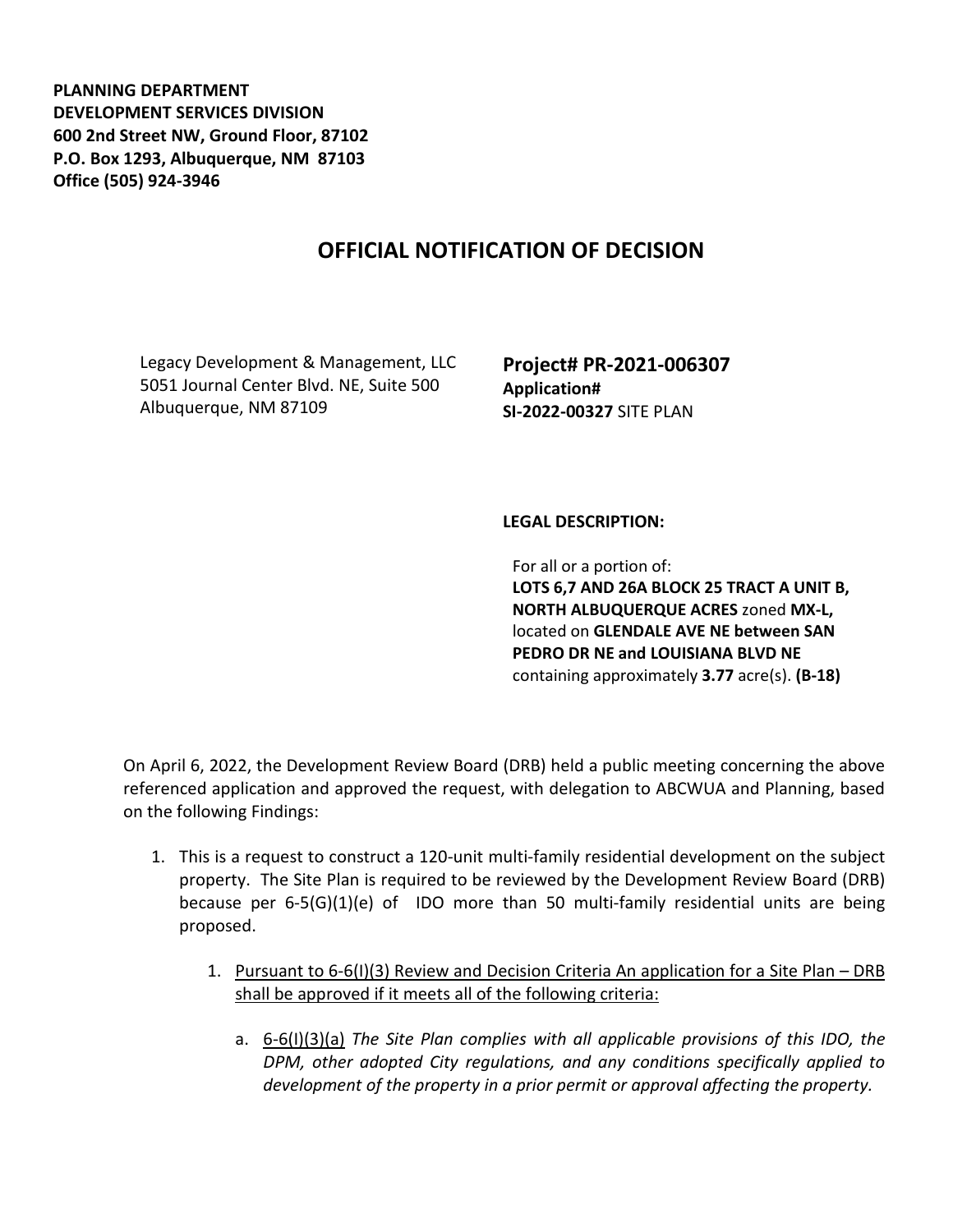**PLANNING DEPARTMENT DEVELOPMENT SERVICES DIVISION 600 2nd Street NW, Ground Floor, 87102 P.O. Box 1293, Albuquerque, NM 87103 Office (505) 924-3946** 

## **OFFICIAL NOTIFICATION OF DECISION**

Legacy Development & Management, LLC 5051 Journal Center Blvd. NE, Suite 500 Albuquerque, NM 87109

**Project# PR-2021-006307 Application# SI-2022-00327** SITE PLAN

## **LEGAL DESCRIPTION:**

For all or a portion of: **LOTS 6,7 AND 26A BLOCK 25 TRACT A UNIT B, NORTH ALBUQUERQUE ACRES** zoned **MX-L,**  located on **GLENDALE AVE NE between SAN PEDRO DR NE and LOUISIANA BLVD NE**  containing approximately **3.77** acre(s). **(B-18)**

On April 6, 2022, the Development Review Board (DRB) held a public meeting concerning the above referenced application and approved the request, with delegation to ABCWUA and Planning, based on the following Findings:

- 1. This is a request to construct a 120-unit multi-family residential development on the subject property. The Site Plan is required to be reviewed by the Development Review Board (DRB) because per 6-5(G)(1)(e) of IDO more than 50 multi-family residential units are being proposed.
	- 1. Pursuant to 6-6(I)(3) Review and Decision Criteria An application for a Site Plan DRB shall be approved if it meets all of the following criteria:
		- a. 6-6(I)(3)(a) *The Site Plan complies with all applicable provisions of this IDO, the DPM, other adopted City regulations, and any conditions specifically applied to development of the property in a prior permit or approval affecting the property.*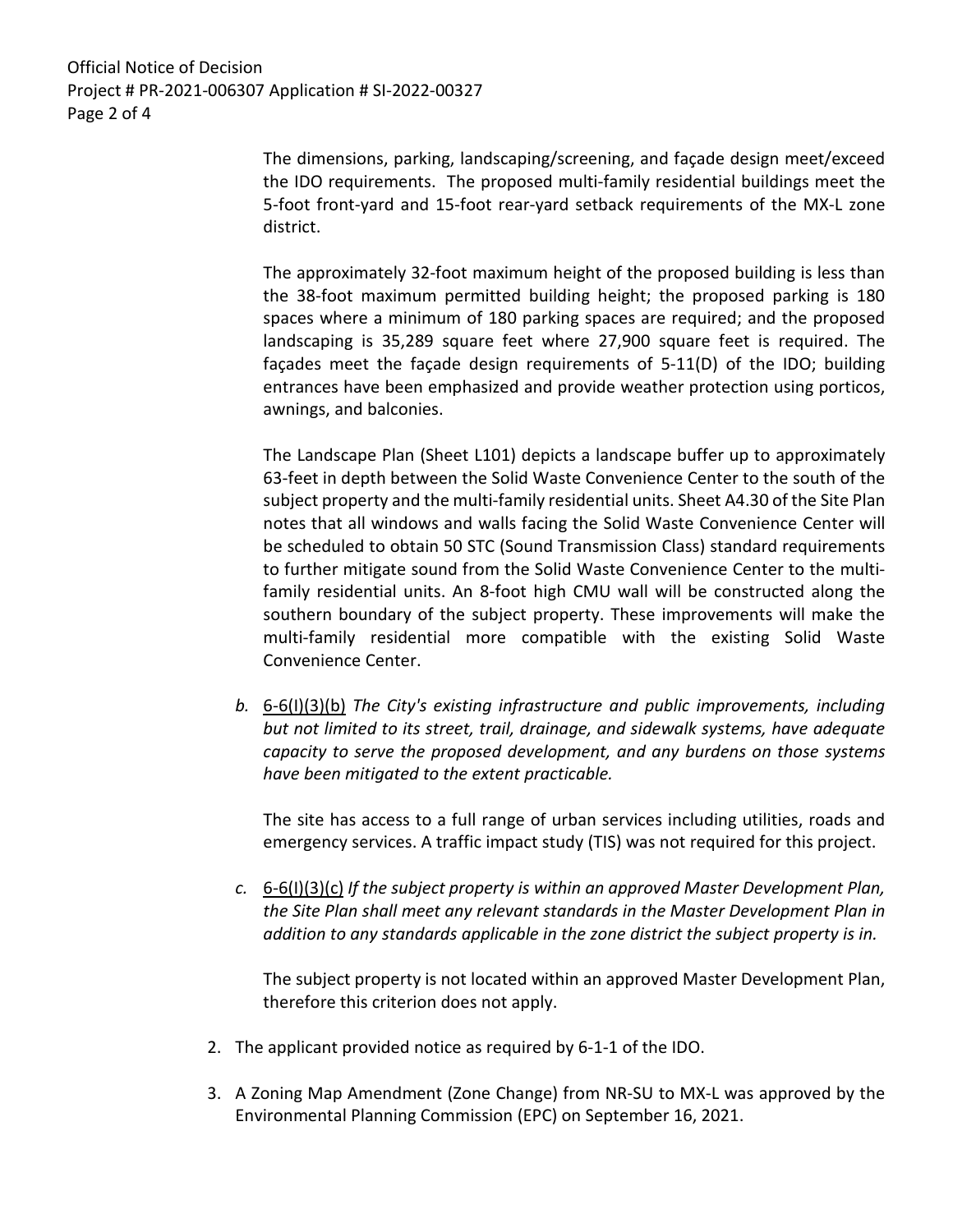Official Notice of Decision Project # PR-2021-006307 Application # SI-2022-00327 Page 2 of 4

> The dimensions, parking, landscaping/screening, and façade design meet/exceed the IDO requirements. The proposed multi-family residential buildings meet the 5-foot front-yard and 15-foot rear-yard setback requirements of the MX-L zone district.

> The approximately 32-foot maximum height of the proposed building is less than the 38-foot maximum permitted building height; the proposed parking is 180 spaces where a minimum of 180 parking spaces are required; and the proposed landscaping is 35,289 square feet where 27,900 square feet is required. The façades meet the façade design requirements of 5-11(D) of the IDO; building entrances have been emphasized and provide weather protection using porticos, awnings, and balconies.

> The Landscape Plan (Sheet L101) depicts a landscape buffer up to approximately 63-feet in depth between the Solid Waste Convenience Center to the south of the subject property and the multi-family residential units. Sheet A4.30 of the Site Plan notes that all windows and walls facing the Solid Waste Convenience Center will be scheduled to obtain 50 STC (Sound Transmission Class) standard requirements to further mitigate sound from the Solid Waste Convenience Center to the multifamily residential units. An 8-foot high CMU wall will be constructed along the southern boundary of the subject property. These improvements will make the multi-family residential more compatible with the existing Solid Waste Convenience Center.

*b.* 6-6(I)(3)(b) *The City's existing infrastructure and public improvements, including but not limited to its street, trail, drainage, and sidewalk systems, have adequate capacity to serve the proposed development, and any burdens on those systems have been mitigated to the extent practicable.* 

The site has access to a full range of urban services including utilities, roads and emergency services. A traffic impact study (TIS) was not required for this project.

*c.* 6-6(I)(3)(c) *If the subject property is within an approved Master Development Plan, the Site Plan shall meet any relevant standards in the Master Development Plan in addition to any standards applicable in the zone district the subject property is in.* 

The subject property is not located within an approved Master Development Plan, therefore this criterion does not apply.

- 2. The applicant provided notice as required by 6-1-1 of the IDO.
- 3. A Zoning Map Amendment (Zone Change) from NR-SU to MX-L was approved by the Environmental Planning Commission (EPC) on September 16, 2021.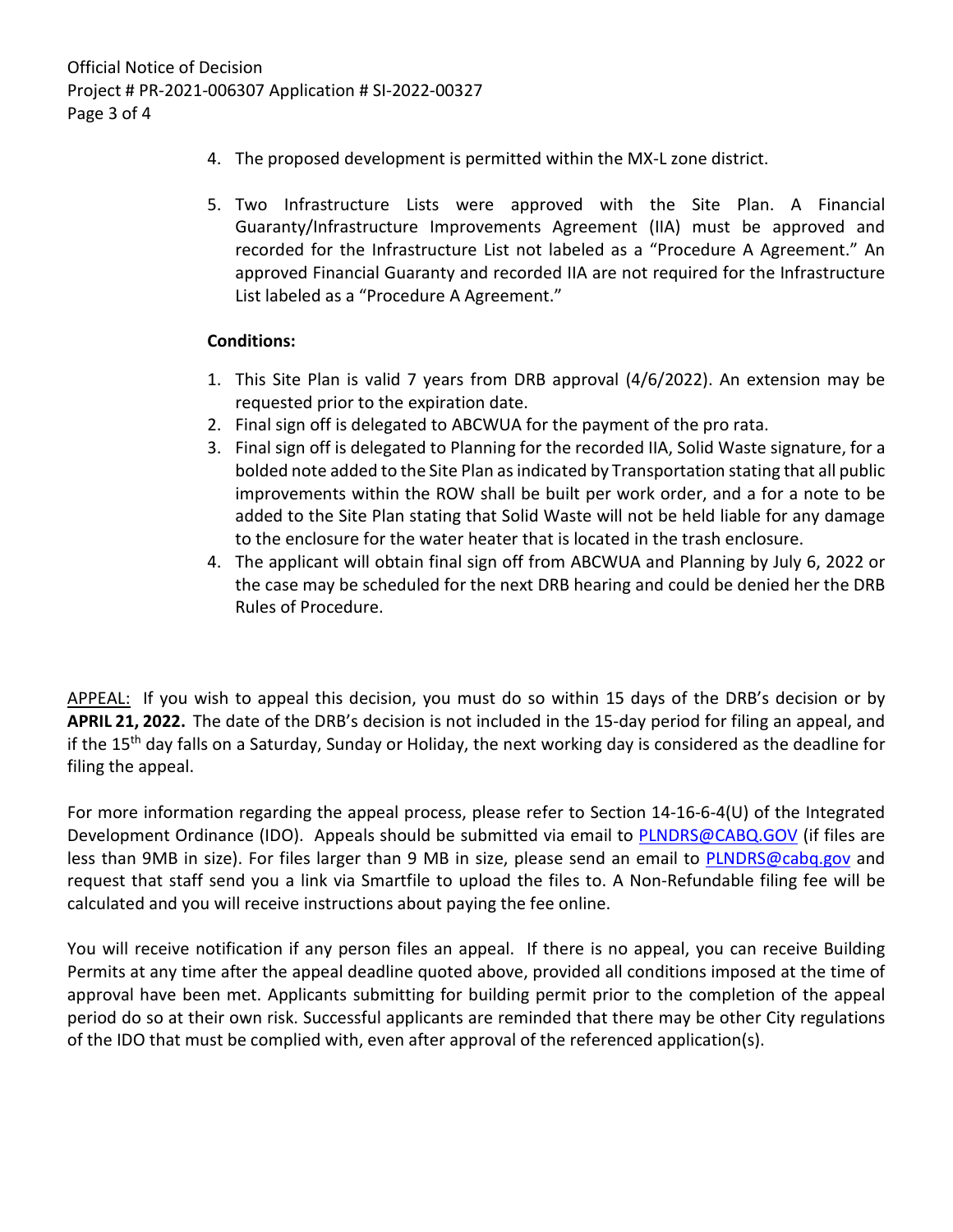- 4. The proposed development is permitted within the MX-L zone district.
- 5. Two Infrastructure Lists were approved with the Site Plan. A Financial Guaranty/Infrastructure Improvements Agreement (IIA) must be approved and recorded for the Infrastructure List not labeled as a "Procedure A Agreement." An approved Financial Guaranty and recorded IIA are not required for the Infrastructure List labeled as a "Procedure A Agreement."

## **Conditions:**

- 1. This Site Plan is valid 7 years from DRB approval (4/6/2022). An extension may be requested prior to the expiration date.
- 2. Final sign off is delegated to ABCWUA for the payment of the pro rata.
- 3. Final sign off is delegated to Planning for the recorded IIA, Solid Waste signature, for a bolded note added to the Site Plan as indicated by Transportation stating that all public improvements within the ROW shall be built per work order, and a for a note to be added to the Site Plan stating that Solid Waste will not be held liable for any damage to the enclosure for the water heater that is located in the trash enclosure.
- 4. The applicant will obtain final sign off from ABCWUA and Planning by July 6, 2022 or the case may be scheduled for the next DRB hearing and could be denied her the DRB Rules of Procedure.

APPEAL: If you wish to appeal this decision, you must do so within 15 days of the DRB's decision or by **APRIL 21, 2022.** The date of the DRB's decision is not included in the 15-day period for filing an appeal, and if the 15<sup>th</sup> day falls on a Saturday, Sunday or Holiday, the next working day is considered as the deadline for filing the appeal.

For more information regarding the appeal process, please refer to Section 14-16-6-4(U) of the Integrated Development Ordinance (IDO). Appeals should be submitted via email to [PLNDRS@CABQ.GOV](mailto:PLNDRS@CABQ.GOV) (if files are less than 9MB in size). For files larger than 9 MB in size, please send an email to **PLNDRS@cabq.gov** and request that staff send you a link via Smartfile to upload the files to. A Non-Refundable filing fee will be calculated and you will receive instructions about paying the fee online.

You will receive notification if any person files an appeal. If there is no appeal, you can receive Building Permits at any time after the appeal deadline quoted above, provided all conditions imposed at the time of approval have been met. Applicants submitting for building permit prior to the completion of the appeal period do so at their own risk. Successful applicants are reminded that there may be other City regulations of the IDO that must be complied with, even after approval of the referenced application(s).